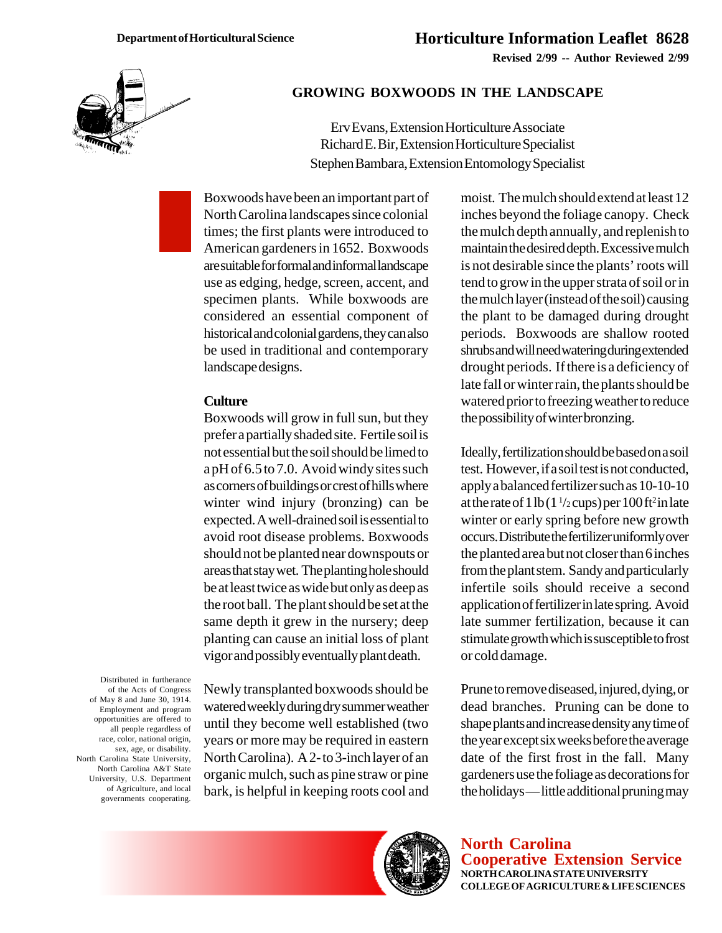

#### **GROWING BOXWOODS IN THE LANDSCAPE**

Erv Evans, Extension Horticulture Associate Richard E. Bir, Extension Horticulture Specialist Stephen Bambara, Extension Entomology Specialist

Boxwoods have been an important part of North Carolina landscapes since colonial times; the first plants were introduced to American gardeners in 1652. Boxwoods are suitable for formal and informal landscape use as edging, hedge, screen, accent, and specimen plants. While boxwoods are considered an essential component of historical and colonial gardens, they can also be used in traditional and contemporary landscape designs.

#### **Culture**

Boxwoods will grow in full sun, but they prefer a partially shaded site. Fertile soil is not essential but the soil should be limed to a pH of 6.5 to 7.0. Avoid windy sites such as corners of buildings or crest of hills where winter wind injury (bronzing) can be expected. A well-drained soil is essential to avoid root disease problems. Boxwoods should not be planted near downspouts or areas that stay wet. The planting hole should be at least twice as wide but only as deep as the root ball. The plant should be set at the same depth it grew in the nursery; deep planting can cause an initial loss of plant vigor and possibly eventually plant death.

Distributed in furtherance of the Acts of Congress of May 8 and June 30, 1914. Employment and program opportunities are offered to all people regardless of race, color, national origin, sex, age, or disability. North Carolina State University, North Carolina A&T State University, U.S. Department of Agriculture, and local governments cooperating.

Newly transplanted boxwoods should be watered weekly during dry summer weather until they become well established (two years or more may be required in eastern North Carolina). A 2- to 3-inch layer of an organic mulch, such as pine straw or pine bark, is helpful in keeping roots cool and moist. The mulch should extend at least 12 inches beyond the foliage canopy. Check the mulch depth annually, and replenish to maintain the desired depth. Excessive mulch is not desirable since the plants' roots will tend to grow in the upper strata of soil or in the mulch layer (instead of the soil) causing the plant to be damaged during drought periods. Boxwoods are shallow rooted shrubs and will need watering during extended drought periods. If there is a deficiency of late fall or winter rain, the plants should be watered prior to freezing weather to reduce the possibility of winter bronzing.

Ideally, fertilization should be based on a soil test. However, if a soil test is not conducted, apply a balanced fertilizer such as 10-10-10 at the rate of 1 lb  $(1\frac{1}{2}$  cups) per 100 ft<sup>2</sup> in late winter or early spring before new growth occurs. Distribute the fertilizer uniformly over the planted area but not closer than 6 inches from the plant stem. Sandy and particularly infertile soils should receive a second application of fertilizer in late spring. Avoid late summer fertilization, because it can stimulate growth which is susceptible to frost or cold damage.

Prune to remove diseased, injured, dying, or dead branches. Pruning can be done to shape plants and increase density any time of the year except six weeks before the average date of the first frost in the fall. Many gardeners use the foliage as decorations for the holidays — little additional pruning may



**North Carolina Cooperative Extension Service NORTH CAROLINA STATE UNIVERSITY COLLEGE OF AGRICULTURE & LIFE SCIENCES**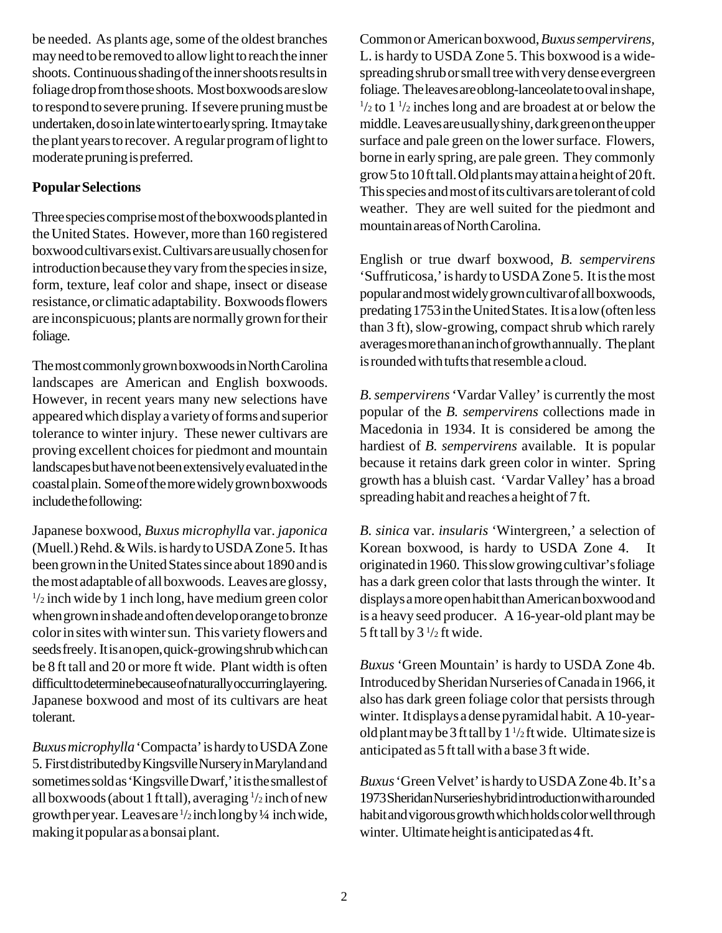be needed. As plants age, some of the oldest branches may need to be removed to allow light to reach the inner shoots. Continuous shading of the inner shoots results in foliage drop from those shoots. Most boxwoods are slow to respond to severe pruning. If severe pruning must be undertaken, do so in late winter to early spring. It may take the plant years to recover. A regular program of light to moderate pruning is preferred.

## **Popular Selections**

Three species comprise most of the boxwoods planted in the United States. However, more than 160 registered boxwood cultivars exist. Cultivars are usually chosen for introduction because they vary from the species in size, form, texture, leaf color and shape, insect or disease resistance, or climatic adaptability. Boxwoods flowers are inconspicuous; plants are normally grown for their foliage.

The most commonly grown boxwoods in North Carolina landscapes are American and English boxwoods. However, in recent years many new selections have appeared which display a variety of forms and superior tolerance to winter injury. These newer cultivars are proving excellent choices for piedmont and mountain landscapes but have not been extensively evaluated in the coastal plain. Some of the more widely grown boxwoods include the following:

Japanese boxwood, *Buxus microphylla* var. *japonica* (Muell.) Rehd. & Wils. is hardy to USDA Zone 5. It has been grown in the United States since about 1890 and is the most adaptable of all boxwoods. Leaves are glossy,  $\frac{1}{2}$  inch wide by 1 inch long, have medium green color when grown in shade and often develop orange to bronze color in sites with winter sun. This variety flowers and seeds freely. It is an open, quick-growing shrub which can be 8 ft tall and 20 or more ft wide. Plant width is often difficult to determine because of naturally occurring layering. Japanese boxwood and most of its cultivars are heat tolerant.

*Buxus microphylla* 'Compacta' is hardy to USDA Zone 5. First distributed by Kingsville Nursery in Maryland and sometimes sold as 'Kingsville Dwarf,' it is the smallest of all boxwoods (about 1 ft tall), averaging <sup>1</sup>/2 inch of new growth per year. Leaves are 1 /2 inch long by ¼ inch wide, making it popular as a bonsai plant.

Common or American boxwood, *Buxus sempervirens,* L. is hardy to USDA Zone 5. This boxwood is a widespreading shrub or small tree with very dense evergreen foliage. The leaves are oblong-lanceolate to oval in shape,  $\frac{1}{2}$  to  $\frac{1}{2}$  inches long and are broadest at or below the middle. Leaves are usually shiny, dark green on the upper surface and pale green on the lower surface. Flowers, borne in early spring, are pale green. They commonly grow 5 to 10 ft tall. Old plants may attain a height of 20 ft. This species and most of its cultivars are tolerant of cold weather. They are well suited for the piedmont and mountain areas of North Carolina.

English or true dwarf boxwood, *B. sempervirens* 'Suffruticosa,' is hardy to USDA Zone 5. It is the most popular and most widely grown cultivar of all boxwoods, predating 1753 in the United States. It is a low (often less than 3 ft), slow-growing, compact shrub which rarely averages more than an inch of growth annually. The plant is rounded with tufts that resemble a cloud.

*B. sempervirens* 'Vardar Valley' is currently the most popular of the *B. sempervirens* collections made in Macedonia in 1934. It is considered be among the hardiest of *B. sempervirens* available. It is popular because it retains dark green color in winter. Spring growth has a bluish cast. 'Vardar Valley' has a broad spreading habit and reaches a height of 7 ft.

*B. sinica* var. *insularis* 'Wintergreen,' a selection of Korean boxwood, is hardy to USDA Zone 4. originated in 1960. This slow growing cultivar's foliage has a dark green color that lasts through the winter. It displays a more open habit than American boxwood and is a heavy seed producer. A 16-year-old plant may be 5 ft tall by  $3\frac{1}{2}$  ft wide.

*Buxus* 'Green Mountain' is hardy to USDA Zone 4b. Introduced by Sheridan Nurseries of Canada in 1966, it also has dark green foliage color that persists through winter. It displays a dense pyramidal habit. A 10-yearold plant may be 3 ft tall by  $1\frac{1}{2}$  ft wide. Ultimate size is anticipated as 5 ft tall with a base 3 ft wide.

*Buxus* 'Green Velvet' is hardy to USDA Zone 4b. It's a 1973 Sheridan Nurseries hybrid introduction with a rounded habit and vigorous growth which holds color well through winter. Ultimate height is anticipated as 4 ft.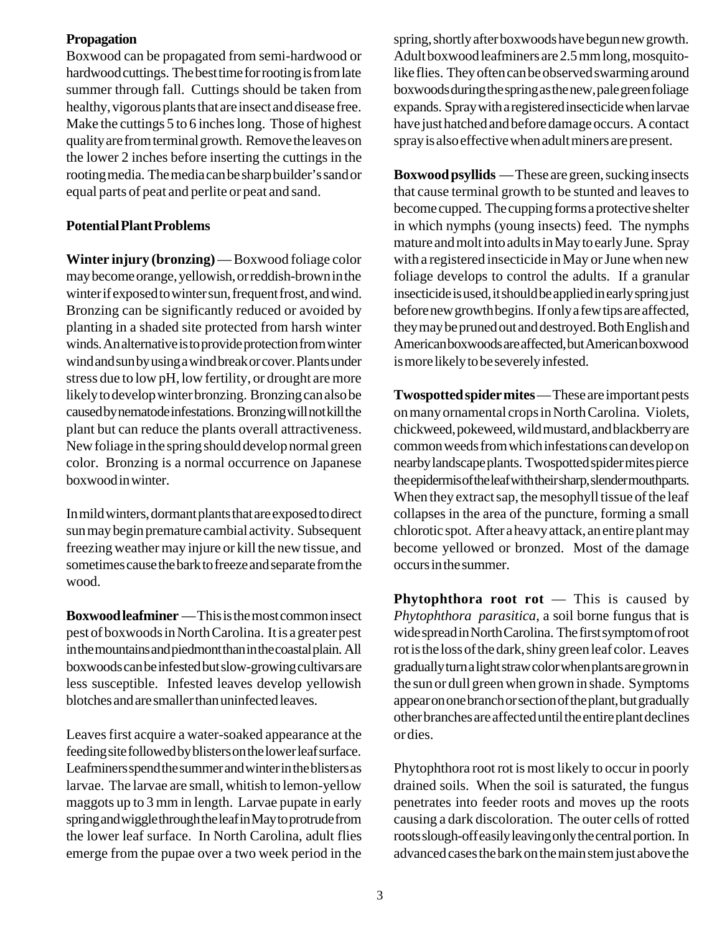## **Propagation**

Boxwood can be propagated from semi-hardwood or hardwood cuttings. The best time for rooting is from late summer through fall. Cuttings should be taken from healthy, vigorous plants that are insect and disease free. Make the cuttings 5 to 6 inches long. Those of highest quality are from terminal growth. Remove the leaves on the lower 2 inches before inserting the cuttings in the rooting media. The media can be sharp builder's sand or equal parts of peat and perlite or peat and sand.

### **Potential Plant Problems**

**Winter injury (bronzing)** — Boxwood foliage color may become orange, yellowish, or reddish-brown in the winter if exposed to winter sun, frequent frost, and wind. Bronzing can be significantly reduced or avoided by planting in a shaded site protected from harsh winter winds. An alternative is to provide protection from winter wind and sun by using a wind break or cover. Plants under stress due to low pH, low fertility, or drought are more likely to develop winter bronzing. Bronzing can also be caused by nematode infestations. Bronzing will not kill the plant but can reduce the plants overall attractiveness. New foliage in the spring should develop normal green color. Bronzing is a normal occurrence on Japanese boxwood in winter.

In mild winters, dormant plants that are exposed to direct sun may begin premature cambial activity. Subsequent freezing weather may injure or kill the new tissue, and sometimes cause the bark to freeze and separate from the wood.

**Boxwood leafminer** — This is the most common insect pest of boxwoods in North Carolina. It is a greater pest in the mountains and piedmont than in the coastal plain. All boxwoods can be infested but slow-growing cultivars are less susceptible. Infested leaves develop yellowish blotches and are smaller than uninfected leaves.

Leaves first acquire a water-soaked appearance at the feeding site followed by blisters on the lower leaf surface. Leafminers spend the summer and winter in the blisters as larvae. The larvae are small, whitish to lemon-yellow maggots up to 3 mm in length. Larvae pupate in early spring and wiggle through the leaf in May to protrude from the lower leaf surface. In North Carolina, adult flies emerge from the pupae over a two week period in the spring, shortly after boxwoods have begun new growth. Adult boxwood leafminers are 2.5 mm long, mosquitolike flies. They often can be observed swarming around boxwoods during the spring as the new, pale green foliage expands. Spray with a registered insecticide when larvae have just hatched and before damage occurs. A contact spray is also effective when adult miners are present.

**Boxwood psyllids** — These are green, sucking insects that cause terminal growth to be stunted and leaves to become cupped. The cupping forms a protective shelter in which nymphs (young insects) feed. The nymphs mature and molt into adults in May to early June. Spray with a registered insecticide in May or June when new foliage develops to control the adults. If a granular insecticide is used, it should be applied in early spring just before new growth begins. If only a few tips are affected, they may be pruned out and destroyed. Both English and American boxwoods are affected, but American boxwood is more likely to be severely infested.

**Twospotted spider mites** — These are important pests on many ornamental crops in North Carolina. Violets, chickweed, pokeweed, wild mustard, and blackberry are common weeds from which infestations can develop on nearby landscape plants. Twospotted spider mites pierce the epidermis of the leaf with their sharp, slender mouthparts. When they extract sap, the mesophyll tissue of the leaf collapses in the area of the puncture, forming a small chlorotic spot. After a heavy attack, an entire plant may become yellowed or bronzed. Most of the damage occurs in the summer.

**Phytophthora root rot** — This is caused by *Phytophthora parasitica*, a soil borne fungus that is wide spread in North Carolina. The first symptom of root rot is the loss of the dark, shiny green leaf color. Leaves gradually turn a light straw color when plants are grown in the sun or dull green when grown in shade. Symptoms appear on one branch or section of the plant, but gradually other branches are affected until the entire plant declines or dies.

Phytophthora root rot is most likely to occur in poorly drained soils. When the soil is saturated, the fungus penetrates into feeder roots and moves up the roots causing a dark discoloration. The outer cells of rotted roots slough-off easily leaving only the central portion. In advanced cases the bark on the main stem just above the